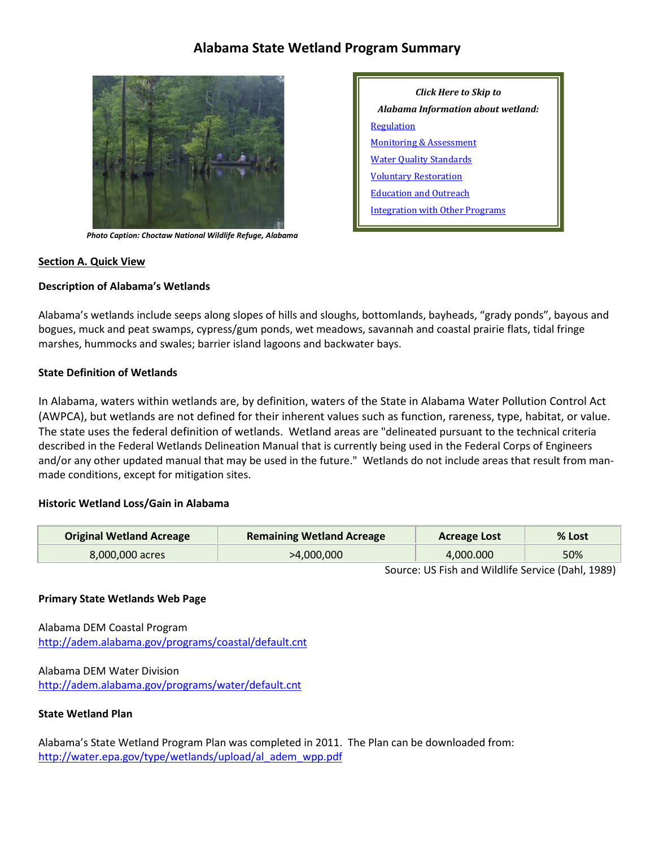# **Alabama State Wetland Program Summary**



 *Photo Caption: Choctaw National Wildlife Refuge, Alabama*

# *Click Here to Skip to Alabama Information about wetland:* **[Regulation](#page-2-0)** [Monitoring & Assessment](#page-4-0) **[Water Quality Standards](#page-5-0)** [Voluntary Restoration](#page-6-0) [Education and Outreach](#page-7-0) [Integration with Other Programs](#page-8-0)

#### **Section A. Quick View**

#### **Description of Alabama's Wetlands**

Alabama's wetlands include seeps along slopes of hills and sloughs, bottomlands, bayheads, "grady ponds", bayous and bogues, muck and peat swamps, cypress/gum ponds, wet meadows, savannah and coastal prairie flats, tidal fringe marshes, hummocks and swales; barrier island lagoons and backwater bays.

#### **State Definition of Wetlands**

In Alabama, waters within wetlands are, by definition, waters of the State in Alabama Water Pollution Control Act (AWPCA), but wetlands are not defined for their inherent values such as function, rareness, type, habitat, or value. The state uses the federal definition of wetlands. Wetland areas are "delineated pursuant to the technical criteria described in the Federal Wetlands Delineation Manual that is currently being used in the Federal Corps of Engineers and/or any other updated manual that may be used in the future." Wetlands do not include areas that result from manmade conditions, except for mitigation sites.

#### **Historic Wetland Loss/Gain in Alabama**

| <b>Original Wetland Acreage</b> | <b>Remaining Wetland Acreage</b> | Acreage Lost | $%$ Lost |
|---------------------------------|----------------------------------|--------------|----------|
| 8,000,000 acres                 | >4,000,000                       | 4.000.000    | 50%      |

Source: US Fish and Wildlife Service (Dahl, 1989)

#### **Primary State Wetlands Web Page**

Alabama DEM Coastal Program <http://adem.alabama.gov/programs/coastal/default.cnt>

Alabama DEM Water Division <http://adem.alabama.gov/programs/water/default.cnt>

#### **State Wetland Plan**

Alabama's State Wetland Program Plan was completed in 2011. The Plan can be downloaded from: [http://water.epa.gov/type/wetlands/upload/al\\_adem\\_wpp.pdf](http://water.epa.gov/type/wetlands/upload/al_adem_wpp.pdf)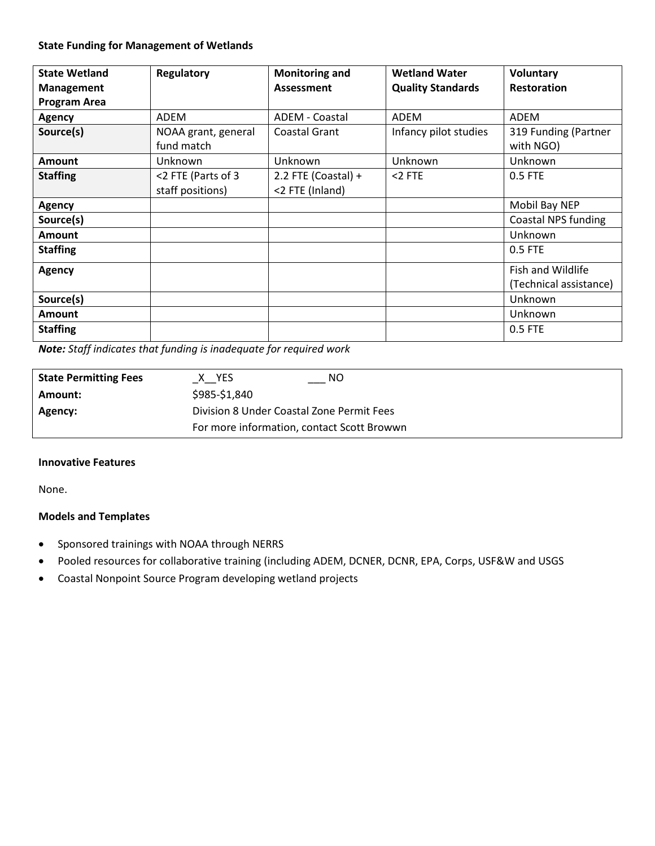#### **State Funding for Management of Wetlands**

| <b>State Wetland</b><br><b>Management</b><br><b>Program Area</b> | Regulatory                             | <b>Monitoring and</b><br>Assessment    | <b>Wetland Water</b><br><b>Quality Standards</b> | <b>Voluntary</b><br><b>Restoration</b>      |
|------------------------------------------------------------------|----------------------------------------|----------------------------------------|--------------------------------------------------|---------------------------------------------|
| <b>Agency</b>                                                    | ADEM                                   | ADEM - Coastal                         | ADEM                                             | ADEM                                        |
| Source(s)                                                        | NOAA grant, general<br>fund match      | <b>Coastal Grant</b>                   | Infancy pilot studies                            | 319 Funding (Partner<br>with NGO)           |
| Amount                                                           | Unknown                                | Unknown                                | Unknown                                          | Unknown                                     |
| <b>Staffing</b>                                                  | <2 FTE (Parts of 3<br>staff positions) | 2.2 FTE (Coastal) +<br><2 FTE (Inland) | $<$ 2 FTE                                        | 0.5 FTE                                     |
| <b>Agency</b>                                                    |                                        |                                        |                                                  | Mobil Bay NEP                               |
| Source(s)                                                        |                                        |                                        |                                                  | <b>Coastal NPS funding</b>                  |
| <b>Amount</b>                                                    |                                        |                                        |                                                  | Unknown                                     |
| <b>Staffing</b>                                                  |                                        |                                        |                                                  | 0.5 FTE                                     |
| <b>Agency</b>                                                    |                                        |                                        |                                                  | Fish and Wildlife<br>(Technical assistance) |
| Source(s)                                                        |                                        |                                        |                                                  | Unknown                                     |
| <b>Amount</b>                                                    |                                        |                                        |                                                  | Unknown                                     |
| <b>Staffing</b>                                                  |                                        |                                        |                                                  | 0.5 FTE                                     |

*Note: Staff indicates that funding is inadequate for required work*

| <b>State Permitting Fees</b> | NO<br>X YES                                |
|------------------------------|--------------------------------------------|
| Amount:                      | \$985-\$1,840                              |
| Agency:                      | Division 8 Under Coastal Zone Permit Fees  |
|                              | For more information, contact Scott Browwn |

#### **Innovative Features**

None.

#### **Models and Templates**

- Sponsored trainings with NOAA through NERRS
- Pooled resources for collaborative training (including ADEM, DCNER, DCNR, EPA, Corps, USF&W and USGS
- Coastal Nonpoint Source Program developing wetland projects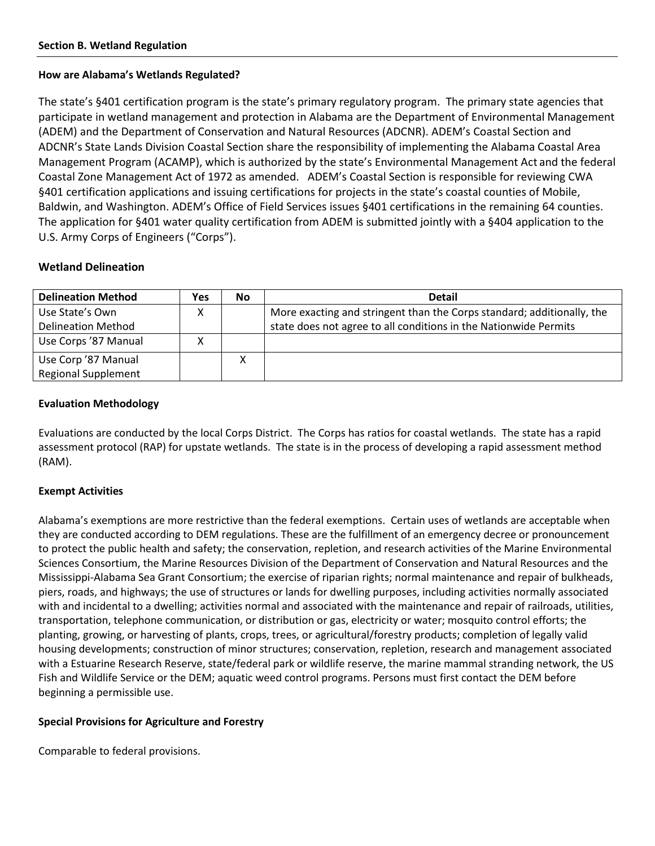#### <span id="page-2-0"></span>**How are Alabama's Wetlands Regulated?**

The state's §401 certification program is the state's primary regulatory program. The primary state agencies that participate in wetland management and protection in Alabama are the Department of Environmental Management (ADEM) and the Department of Conservation and Natural Resources (ADCNR). ADEM's Coastal Section and ADCNR's State Lands Division Coastal Section share the responsibility of implementing the Alabama Coastal Area Management Program (ACAMP), which is authorized by the state's Environmental Management Act and the federal Coastal Zone Management Act of 1972 as amended. ADEM's Coastal Section is responsible for reviewing CWA §401 certification applications and issuing certifications for projects in the state's coastal counties of Mobile, Baldwin, and Washington. ADEM's Office of Field Services issues §401 certifications in the remaining 64 counties. The application for §401 water quality certification from ADEM is submitted jointly with a §404 application to the U.S. Army Corps of Engineers ("Corps").

### **Wetland Delineation**

| <b>Delineation Method</b>  | Yes | No | <b>Detail</b>                                                          |
|----------------------------|-----|----|------------------------------------------------------------------------|
| Use State's Own            |     |    | More exacting and stringent than the Corps standard; additionally, the |
| <b>Delineation Method</b>  |     |    | state does not agree to all conditions in the Nationwide Permits       |
| Use Corps '87 Manual       |     |    |                                                                        |
| Use Corp '87 Manual        |     | х  |                                                                        |
| <b>Regional Supplement</b> |     |    |                                                                        |

#### **Evaluation Methodology**

Evaluations are conducted by the local Corps District. The Corps has ratios for coastal wetlands. The state has a rapid assessment protocol (RAP) for upstate wetlands. The state is in the process of developing a rapid assessment method (RAM).

### **Exempt Activities**

Alabama's exemptions are more restrictive than the federal exemptions. Certain uses of wetlands are acceptable when they are conducted according to DEM regulations. These are the fulfillment of an emergency decree or pronouncement to protect the public health and safety; the conservation, repletion, and research activities of the Marine Environmental Sciences Consortium, the Marine Resources Division of the Department of Conservation and Natural Resources and the Mississippi-Alabama Sea Grant Consortium; the exercise of riparian rights; normal maintenance and repair of bulkheads, piers, roads, and highways; the use of structures or lands for dwelling purposes, including activities normally associated with and incidental to a dwelling; activities normal and associated with the maintenance and repair of railroads, utilities, transportation, telephone communication, or distribution or gas, electricity or water; mosquito control efforts; the planting, growing, or harvesting of plants, crops, trees, or agricultural/forestry products; completion of legally valid housing developments; construction of minor structures; conservation, repletion, research and management associated with a Estuarine Research Reserve, state/federal park or wildlife reserve, the marine mammal stranding network, the US Fish and Wildlife Service or the DEM; aquatic weed control programs. Persons must first contact the DEM before beginning a permissible use.

#### **Special Provisions for Agriculture and Forestry**

Comparable to federal provisions.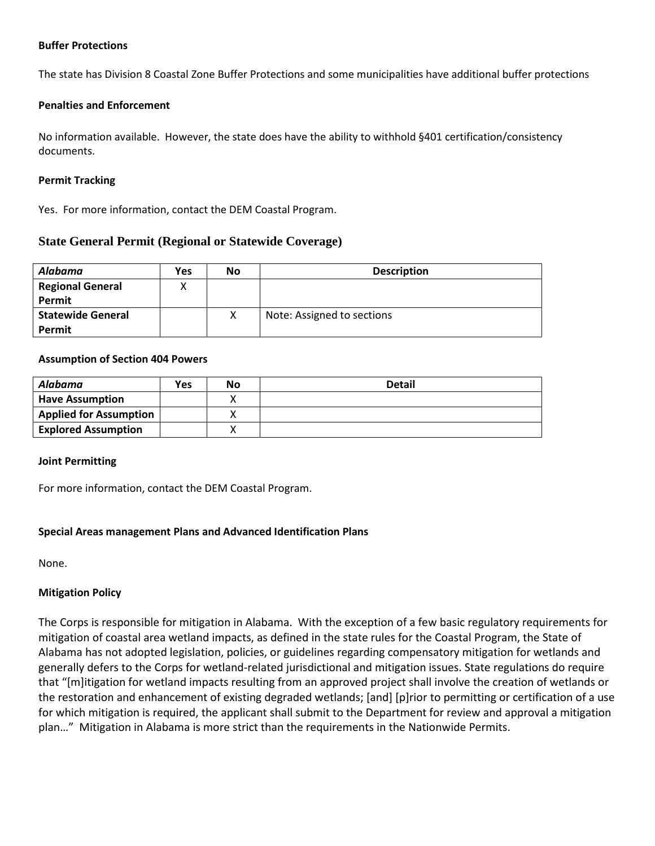#### **Buffer Protections**

The state has Division 8 Coastal Zone Buffer Protections and some municipalities have additional buffer protections

#### **Penalties and Enforcement**

No information available. However, the state does have the ability to withhold §401 certification/consistency documents.

#### **Permit Tracking**

Yes. For more information, contact the DEM Coastal Program.

### **State General Permit (Regional or Statewide Coverage)**

| <b>Alabama</b>           | <b>Yes</b> | <b>No</b> | <b>Description</b>         |
|--------------------------|------------|-----------|----------------------------|
| <b>Regional General</b>  |            |           |                            |
| Permit                   |            |           |                            |
| <b>Statewide General</b> |            |           | Note: Assigned to sections |
| Permit                   |            |           |                            |

#### **Assumption of Section 404 Powers**

| Alabama                       | <b>Yes</b> | <b>No</b> | <b>Detail</b> |
|-------------------------------|------------|-----------|---------------|
| <b>Have Assumption</b>        |            |           |               |
| <b>Applied for Assumption</b> |            |           |               |
| <b>Explored Assumption</b>    |            |           |               |

#### **Joint Permitting**

For more information, contact the DEM Coastal Program.

#### **Special Areas management Plans and Advanced Identification Plans**

None.

#### **Mitigation Policy**

The Corps is responsible for mitigation in Alabama. With the exception of a few basic regulatory requirements for mitigation of coastal area wetland impacts, as defined in the state rules for the Coastal Program, the State of Alabama has not adopted legislation, policies, or guidelines regarding compensatory mitigation for wetlands and generally defers to the Corps for wetland-related jurisdictional and mitigation issues. State regulations do require that "[m]itigation for wetland impacts resulting from an approved project shall involve the creation of wetlands or the restoration and enhancement of existing degraded wetlands; [and] [p]rior to permitting or certification of a use for which mitigation is required, the applicant shall submit to the Department for review and approval a mitigation plan…" Mitigation in Alabama is more strict than the requirements in the Nationwide Permits.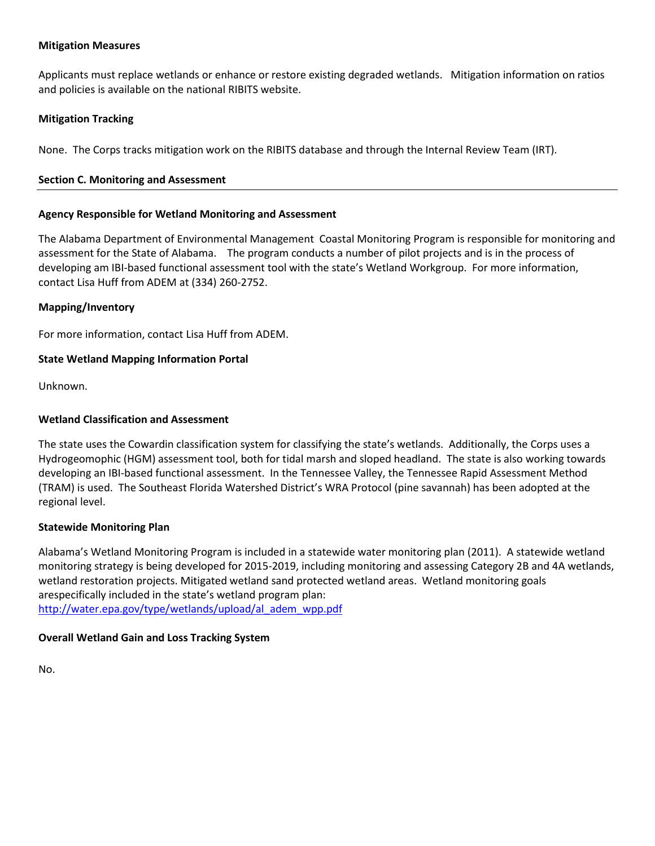#### **Mitigation Measures**

Applicants must replace wetlands or enhance or restore existing degraded wetlands. Mitigation information on ratios and policies is available on the national RIBITS website.

#### **Mitigation Tracking**

None. The Corps tracks mitigation work on the RIBITS database and through the Internal Review Team (IRT).

#### <span id="page-4-0"></span>**Section C. Monitoring and Assessment**

#### **Agency Responsible for Wetland Monitoring and Assessment**

The Alabama Department of Environmental Management Coastal Monitoring Program is responsible for monitoring and assessment for the State of Alabama. The program conducts a number of pilot projects and is in the process of developing am IBI-based functional assessment tool with the state's Wetland Workgroup. For more information, contact Lisa Huff from ADEM at (334) 260-2752.

#### **Mapping/Inventory**

For more information, contact Lisa Huff from ADEM.

#### **State Wetland Mapping Information Portal**

Unknown.

#### **Wetland Classification and Assessment**

The state uses the Cowardin classification system for classifying the state's wetlands. Additionally, the Corps uses a Hydrogeomophic (HGM) assessment tool, both for tidal marsh and sloped headland. The state is also working towards developing an IBI-based functional assessment. In the Tennessee Valley, the Tennessee Rapid Assessment Method (TRAM) is used. The Southeast Florida Watershed District's WRA Protocol (pine savannah) has been adopted at the regional level.

#### **Statewide Monitoring Plan**

Alabama's Wetland Monitoring Program is included in a statewide water monitoring plan (2011). A statewide wetland monitoring strategy is being developed for 2015-2019, including monitoring and assessing Category 2B and 4A wetlands, wetland restoration projects. Mitigated wetland sand protected wetland areas. Wetland monitoring goals arespecifically included in the state's wetland program plan: [http://water.epa.gov/type/wetlands/upload/al\\_adem\\_wpp.pdf](http://water.epa.gov/type/wetlands/upload/al_adem_wpp.pdf)

#### **Overall Wetland Gain and Loss Tracking System**

No.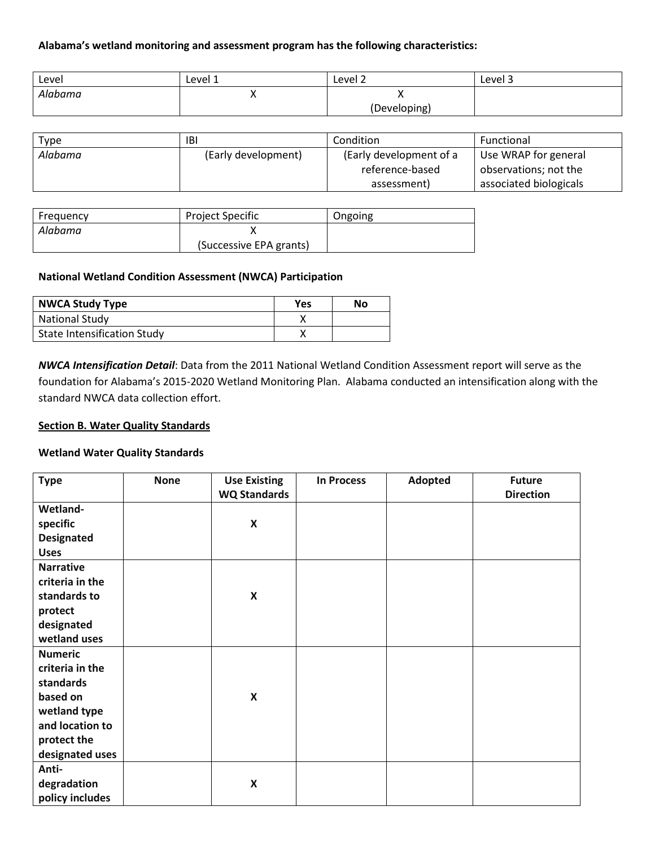#### **Alabama's wetland monitoring and assessment program has the following characteristics:**

| Level   | Level 1  | Level 2      | Level 3 |
|---------|----------|--------------|---------|
| Alabama | $\cdots$ | ,,           |         |
|         |          | (Developing) |         |

| Type    | IBI                 | Condition               | Functional             |
|---------|---------------------|-------------------------|------------------------|
| Alabama | (Early development) | (Early development of a | Use WRAP for general   |
|         |                     | reference-based         | observations; not the  |
|         |                     | assessment)             | associated biologicals |

| Frequency | <b>Project Specific</b> | Ongoing |
|-----------|-------------------------|---------|
| Alabama   |                         |         |
|           | (Successive EPA grants) |         |

#### **National Wetland Condition Assessment (NWCA) Participation**

| <b>NWCA Study Type</b>             | <b>Yes</b> | No |
|------------------------------------|------------|----|
| <b>National Study</b>              |            |    |
| <b>State Intensification Study</b> |            |    |

*NWCA Intensification Detail*: Data from the 2011 National Wetland Condition Assessment report will serve as the foundation for Alabama's 2015-2020 Wetland Monitoring Plan. Alabama conducted an intensification along with the standard NWCA data collection effort.

#### <span id="page-5-0"></span>**Section B. Water Quality Standards**

#### **Wetland Water Quality Standards**

| <b>Type</b>       | <b>None</b> | <b>Use Existing</b><br><b>WQ Standards</b> | <b>In Process</b> | Adopted | <b>Future</b><br><b>Direction</b> |
|-------------------|-------------|--------------------------------------------|-------------------|---------|-----------------------------------|
| Wetland-          |             |                                            |                   |         |                                   |
| specific          |             | $\pmb{\mathsf{X}}$                         |                   |         |                                   |
| <b>Designated</b> |             |                                            |                   |         |                                   |
| <b>Uses</b>       |             |                                            |                   |         |                                   |
| <b>Narrative</b>  |             |                                            |                   |         |                                   |
| criteria in the   |             |                                            |                   |         |                                   |
| standards to      |             | $\pmb{\mathsf{X}}$                         |                   |         |                                   |
| protect           |             |                                            |                   |         |                                   |
| designated        |             |                                            |                   |         |                                   |
| wetland uses      |             |                                            |                   |         |                                   |
| <b>Numeric</b>    |             |                                            |                   |         |                                   |
| criteria in the   |             |                                            |                   |         |                                   |
| standards         |             |                                            |                   |         |                                   |
| based on          |             | $\boldsymbol{\mathsf{x}}$                  |                   |         |                                   |
| wetland type      |             |                                            |                   |         |                                   |
| and location to   |             |                                            |                   |         |                                   |
| protect the       |             |                                            |                   |         |                                   |
| designated uses   |             |                                            |                   |         |                                   |
| Anti-             |             |                                            |                   |         |                                   |
| degradation       |             | $\pmb{\times}$                             |                   |         |                                   |
| policy includes   |             |                                            |                   |         |                                   |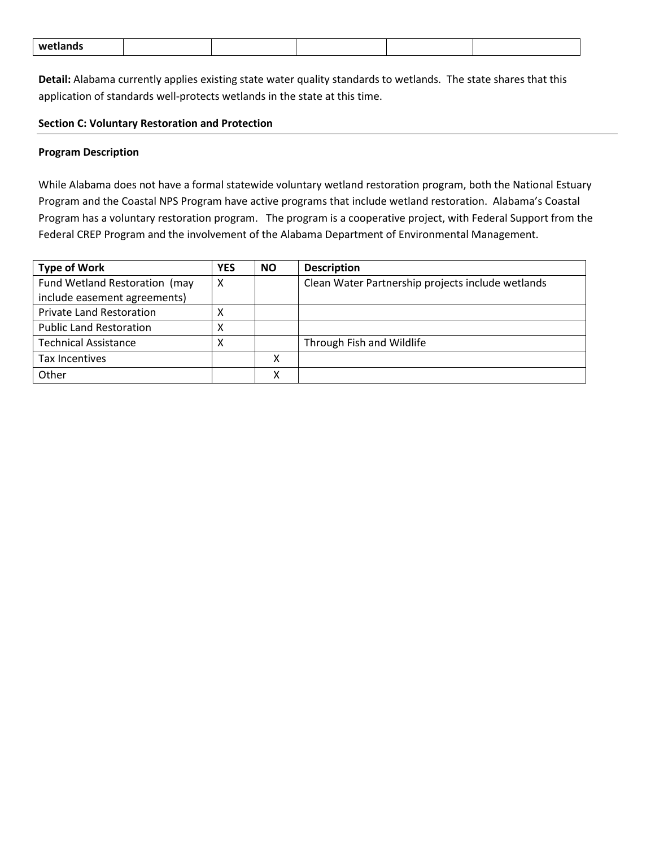| . .<br>wet<br>nann | _____ |
|--------------------|-------|
|--------------------|-------|

**Detail:** Alabama currently applies existing state water quality standards to wetlands. The state shares that this application of standards well-protects wetlands in the state at this time.

#### <span id="page-6-0"></span>**Section C: Voluntary Restoration and Protection**

#### **Program Description**

While Alabama does not have a formal statewide voluntary wetland restoration program, both the National Estuary Program and the Coastal NPS Program have active programs that include wetland restoration. Alabama's Coastal Program has a voluntary restoration program. The program is a cooperative project, with Federal Support from the Federal CREP Program and the involvement of the Alabama Department of Environmental Management.

| <b>Type of Work</b>             | <b>YES</b> | <b>NO</b> | <b>Description</b>                                |
|---------------------------------|------------|-----------|---------------------------------------------------|
| Fund Wetland Restoration (may   | X          |           | Clean Water Partnership projects include wetlands |
| include easement agreements)    |            |           |                                                   |
| <b>Private Land Restoration</b> | х          |           |                                                   |
| <b>Public Land Restoration</b>  | х          |           |                                                   |
| <b>Technical Assistance</b>     | χ          |           | Through Fish and Wildlife                         |
| Tax Incentives                  |            | v<br>↗    |                                                   |
| Other                           |            | v         |                                                   |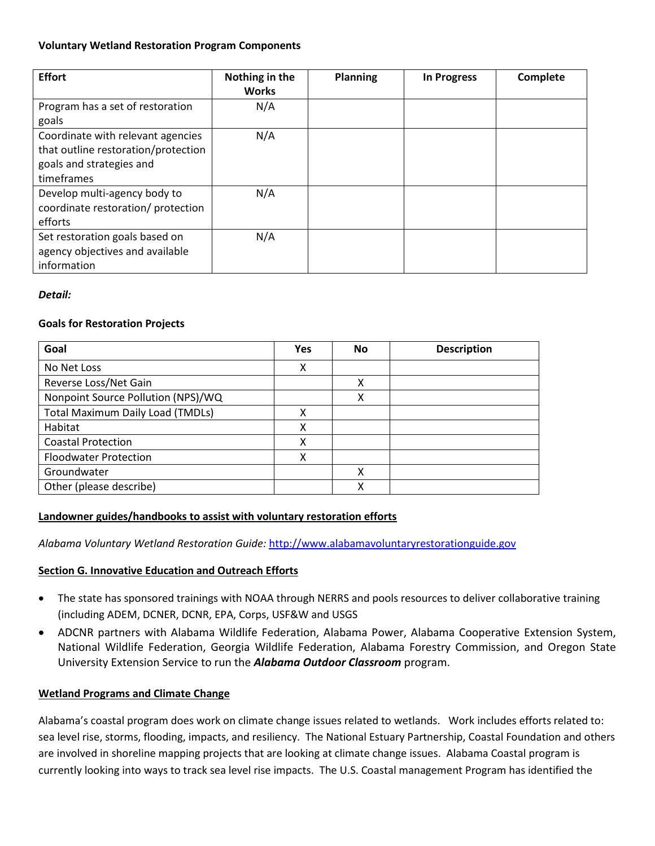#### **Voluntary Wetland Restoration Program Components**

| <b>Effort</b>                                                                                                      | Nothing in the<br><b>Works</b> | Planning | <b>In Progress</b> | Complete |
|--------------------------------------------------------------------------------------------------------------------|--------------------------------|----------|--------------------|----------|
| Program has a set of restoration<br>goals                                                                          | N/A                            |          |                    |          |
| Coordinate with relevant agencies<br>that outline restoration/protection<br>goals and strategies and<br>timeframes | N/A                            |          |                    |          |
| Develop multi-agency body to<br>coordinate restoration/ protection<br>efforts                                      | N/A                            |          |                    |          |
| Set restoration goals based on<br>agency objectives and available<br>information                                   | N/A                            |          |                    |          |

### *Detail:*

### **Goals for Restoration Projects**

| Goal                                    | Yes | <b>No</b> | <b>Description</b> |
|-----------------------------------------|-----|-----------|--------------------|
| No Net Loss                             | χ   |           |                    |
| Reverse Loss/Net Gain                   |     | χ         |                    |
| Nonpoint Source Pollution (NPS)/WQ      |     | x         |                    |
| <b>Total Maximum Daily Load (TMDLs)</b> | χ   |           |                    |
| Habitat                                 | χ   |           |                    |
| <b>Coastal Protection</b>               | x   |           |                    |
| <b>Floodwater Protection</b>            | х   |           |                    |
| Groundwater                             |     | x         |                    |
| Other (please describe)                 |     |           |                    |

### **Landowner guides/handbooks to assist with voluntary restoration efforts**

*Alabama Voluntary Wetland Restoration Guide:* [http://www.alabamavoluntaryrestorationguide.gov](http://www.alabamavoluntaryrestorationguide.gov/)

### <span id="page-7-0"></span>**Section G. Innovative Education and Outreach Efforts**

- The state has sponsored trainings with NOAA through NERRS and pools resources to deliver collaborative training (including ADEM, DCNER, DCNR, EPA, Corps, USF&W and USGS
- ADCNR partners with Alabama Wildlife Federation, Alabama Power, Alabama Cooperative Extension System, National Wildlife Federation, Georgia Wildlife Federation, Alabama Forestry Commission, and Oregon State University Extension Service to run the *Alabama Outdoor Classroom* program.

### **Wetland Programs and Climate Change**

Alabama's coastal program does work on climate change issues related to wetlands. Work includes efforts related to: sea level rise, storms, flooding, impacts, and resiliency. The National Estuary Partnership, Coastal Foundation and others are involved in shoreline mapping projects that are looking at climate change issues. Alabama Coastal program is currently looking into ways to track sea level rise impacts. The U.S. Coastal management Program has identified the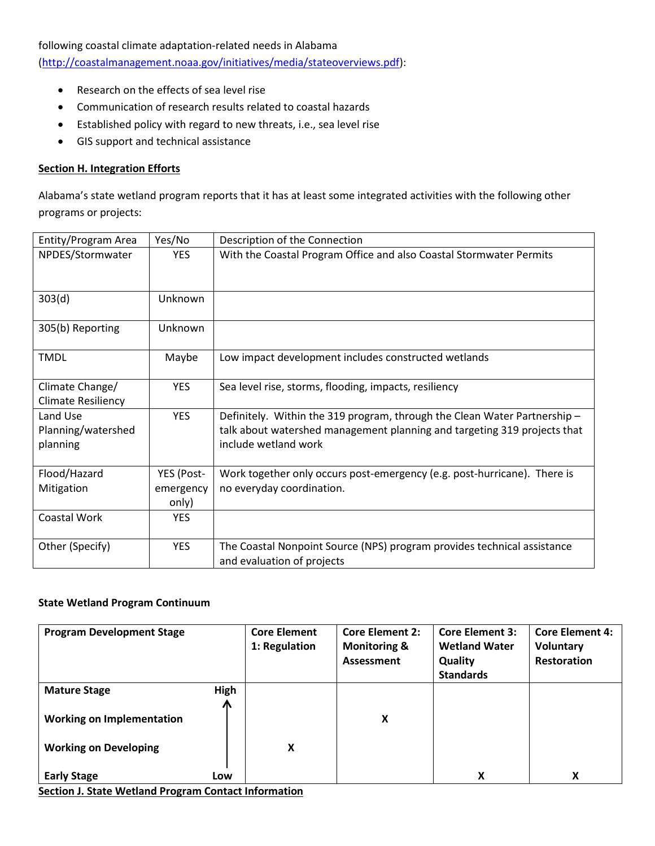following coastal climate adaptation-related needs in Alabama

[\(http://coastalmanagement.noaa.gov/initiatives/media/stateoverviews.pdf\)](http://coastalmanagement.noaa.gov/initiatives/media/stateoverviews.pdf):

- Research on the effects of sea level rise
- Communication of research results related to coastal hazards
- Established policy with regard to new threats, i.e., sea level rise
- GIS support and technical assistance

#### <span id="page-8-0"></span>**Section H. Integration Efforts**

Alabama's state wetland program reports that it has at least some integrated activities with the following other programs or projects:

| Entity/Program Area                          | Yes/No             | Description of the Connection                                                                                                                                                 |
|----------------------------------------------|--------------------|-------------------------------------------------------------------------------------------------------------------------------------------------------------------------------|
| NPDES/Stormwater                             | <b>YES</b>         | With the Coastal Program Office and also Coastal Stormwater Permits                                                                                                           |
| 303(d)                                       | Unknown            |                                                                                                                                                                               |
| 305(b) Reporting                             | Unknown            |                                                                                                                                                                               |
| <b>TMDL</b>                                  | Maybe              | Low impact development includes constructed wetlands                                                                                                                          |
| Climate Change/<br><b>Climate Resiliency</b> | <b>YES</b>         | Sea level rise, storms, flooding, impacts, resiliency                                                                                                                         |
| Land Use<br>Planning/watershed<br>planning   | <b>YES</b>         | Definitely. Within the 319 program, through the Clean Water Partnership -<br>talk about watershed management planning and targeting 319 projects that<br>include wetland work |
| Flood/Hazard                                 | YES (Post-         | Work together only occurs post-emergency (e.g. post-hurricane). There is                                                                                                      |
| Mitigation                                   | emergency<br>only) | no everyday coordination.                                                                                                                                                     |
| Coastal Work                                 | <b>YES</b>         |                                                                                                                                                                               |
| Other (Specify)                              | <b>YES</b>         | The Coastal Nonpoint Source (NPS) program provides technical assistance<br>and evaluation of projects                                                                         |

#### **State Wetland Program Continuum**

| <b>Program Development Stage</b> |           | <b>Core Element</b><br>1: Regulation | <b>Core Element 2:</b><br><b>Monitoring &amp;</b><br>Assessment | <b>Core Element 3:</b><br><b>Wetland Water</b><br>Quality<br><b>Standards</b> | <b>Core Element 4:</b><br>Voluntary<br>Restoration |
|----------------------------------|-----------|--------------------------------------|-----------------------------------------------------------------|-------------------------------------------------------------------------------|----------------------------------------------------|
| <b>Mature Stage</b>              | High<br>Ж |                                      |                                                                 |                                                                               |                                                    |
| <b>Working on Implementation</b> |           |                                      | x                                                               |                                                                               |                                                    |
| <b>Working on Developing</b>     |           | X                                    |                                                                 |                                                                               |                                                    |
| <b>Early Stage</b>               | Low       |                                      |                                                                 | X                                                                             | X                                                  |

**Section J. State Wetland Program Contact Information**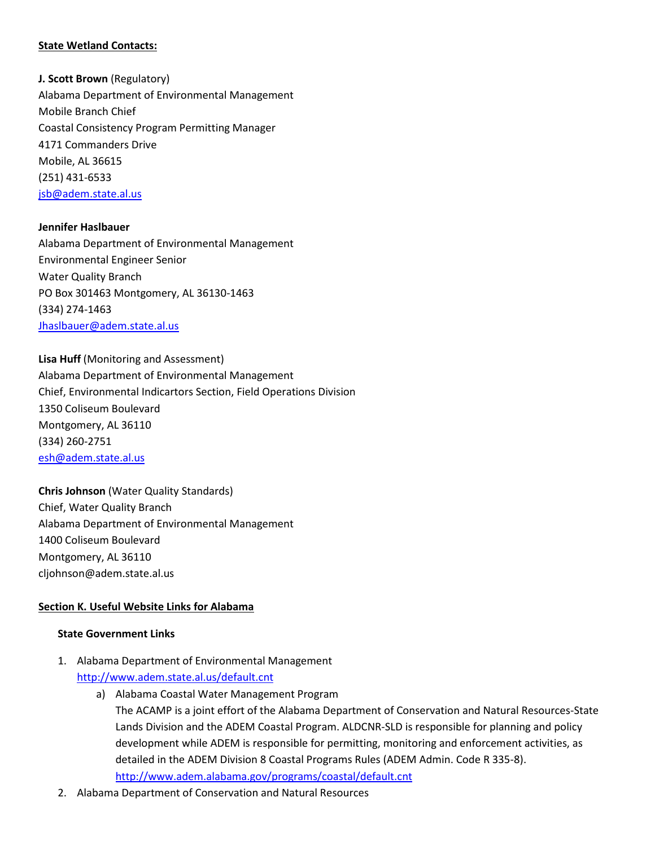#### **State Wetland Contacts:**

**J. Scott Brown** (Regulatory) Alabama Department of Environmental Management Mobile Branch Chief Coastal Consistency Program Permitting Manager 4171 Commanders Drive Mobile, AL 36615 (251) 431-6533 [jsb@adem.state.al.us](mailto:jsb@adem.state.al.us)

#### **Jennifer Haslbauer**

Alabama Department of Environmental Management Environmental Engineer Senior Water Quality Branch PO Box 301463 Montgomery, AL 36130-1463 (334) 274-1463 [Jhaslbauer@adem.state.al.us](mailto:Jhaslbauer@adem.state.al.us)

**Lisa Huff** (Monitoring and Assessment) Alabama Department of Environmental Management Chief, Environmental Indicartors Section, Field Operations Division 1350 Coliseum Boulevard Montgomery, AL 36110 (334) 260-2751 [esh@adem.state.al.us](mailto:esh@adem.state.al.us)

**Chris Johnson** (Water Quality Standards) Chief, Water Quality Branch Alabama Department of Environmental Management 1400 Coliseum Boulevard Montgomery, AL 36110 cljohnson@adem.state.al.us

#### **Section K. Useful Website Links for Alabama**

#### **State Government Links**

- 1. Alabama Department of Environmental Management <http://www.adem.state.al.us/default.cnt>
	- a) Alabama Coastal Water Management Program The ACAMP is a joint effort of the Alabama Department of Conservation and Natural Resources-State Lands Division and the ADEM Coastal Program. ALDCNR-SLD is responsible for planning and policy development while ADEM is responsible for permitting, monitoring and enforcement activities, as detailed in the ADEM Division 8 Coastal Programs Rules (ADEM Admin. Code R 335-8). <http://www.adem.alabama.gov/programs/coastal/default.cnt>
- 2. Alabama Department of Conservation and Natural Resources